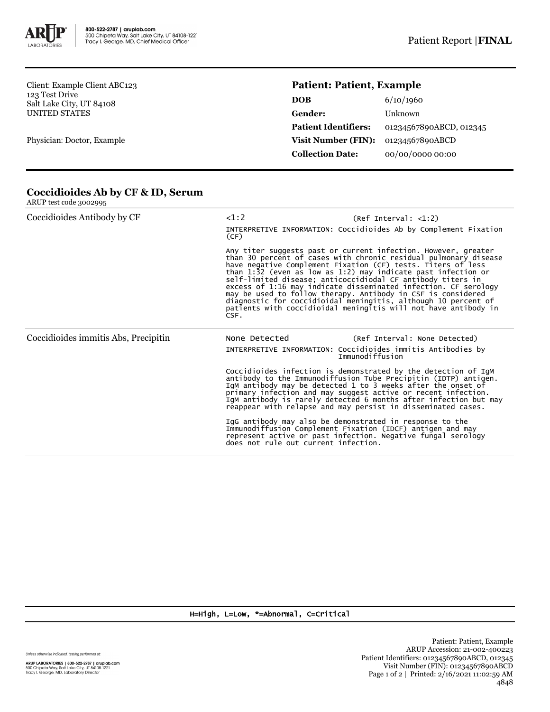

Client: Example Client ABC123 123 Test Drive Salt Lake City, UT 84108 UNITED STATES

Physician: Doctor, Example

## **Patient: Patient, Example**

| DOB                         | 6/10/1960               |
|-----------------------------|-------------------------|
| Gender:                     | Unknown                 |
| <b>Patient Identifiers:</b> | 01234567890ABCD, 012345 |
| <b>Visit Number (FIN):</b>  | 01234567890ABCD         |
| <b>Collection Date:</b>     | 00/00/0000 00:00        |
|                             |                         |

| Coccidioides Antibody by CF          | <1:2<br>(CF)  | (Ref Interval: <1:2)<br>INTERPRETIVE INFORMATION: Coccidioides Ab by Complement Fixation                                                                                                                                                                                                                                                                                                                                                                                                                                                                                                                   |
|--------------------------------------|---------------|------------------------------------------------------------------------------------------------------------------------------------------------------------------------------------------------------------------------------------------------------------------------------------------------------------------------------------------------------------------------------------------------------------------------------------------------------------------------------------------------------------------------------------------------------------------------------------------------------------|
|                                      | CSF.          | Any titer suggests past or current infection. However, greater<br>than 30 percent of cases with chronic residual pulmonary disease<br>have negative Complement Fixation (CF) tests. Titers of less<br>than 1:32 (even as low as 1:2) may indicate past infection or<br>self-limited disease; anticoccidiodal CF antibody titers in<br>excess of 1:16 may indicate disseminated infection. CF serology<br>may be used to follow therapy. Antibody in CSF is considered<br>diagnostic for coccidioidal meningitis, although 10 percent of<br>patients with coccidioidal meningitis will not have antibody in |
| Coccidioides immitis Abs, Precipitin | None Detected |                                                                                                                                                                                                                                                                                                                                                                                                                                                                                                                                                                                                            |
|                                      |               | (Ref Interval: None Detected)                                                                                                                                                                                                                                                                                                                                                                                                                                                                                                                                                                              |
|                                      |               | INTERPRETIVE INFORMATION: Coccidioides immitis Antibodies by<br>Immunodiffusion                                                                                                                                                                                                                                                                                                                                                                                                                                                                                                                            |
|                                      |               | Coccidioides infection is demonstrated by the detection of IgM<br>antibody to the Immunodiffusion Tube Precipitin (IDTP) antigen.<br>IgM antibody may be detected 1 to 3 weeks after the onset of<br>primary infection and may suggest active or recent infection.<br>IgM antibody is rarely detected 6 months after infection but may<br>reappear with relapse and may persist in disseminated cases.                                                                                                                                                                                                     |

## **Coccidioides Ab by CF & ID, Serum** ARUP test code 3002995

H=High, L=Low, \*=Abnormal, C=Critical

Unless otherwise indicated, testing performed at:

**ARUP LABORATORIES | 800-522-2787 | aruplab.com**<br>500 Chipeta Way, Salt Lake City, UT 84108-1221<br>Tracy I. George, MD, Laboratory Director

Patient: Patient, Example ARUP Accession: 21-002-400223 Patient Identifiers: 01234567890ABCD, 012345 Visit Number (FIN): 01234567890ABCD Page 1 of 2 | Printed: 2/16/2021 11:02:59 AM 4848